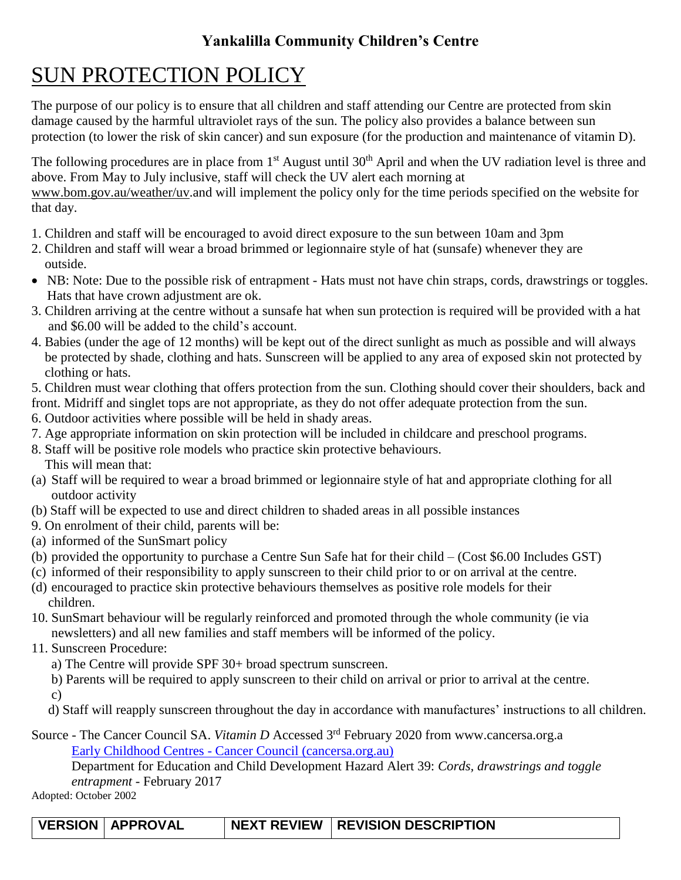## **Yankalilla Community Children's Centre**

## SUN PROTECTION POLICY

The purpose of our policy is to ensure that all children and staff attending our Centre are protected from skin damage caused by the harmful ultraviolet rays of the sun. The policy also provides a balance between sun protection (to lower the risk of skin cancer) and sun exposure (for the production and maintenance of vitamin D).

The following procedures are in place from  $1<sup>st</sup>$  August until  $30<sup>th</sup>$  April and when the UV radiation level is three and above. From May to July inclusive, staff will check the UV alert each morning at

[www.bom.gov.au/weather/uv.](http://www.bom.gov.au/weather/uv)and will implement the policy only for the time periods specified on the website for that day.

- 1. Children and staff will be encouraged to avoid direct exposure to the sun between 10am and 3pm
- 2. Children and staff will wear a broad brimmed or legionnaire style of hat (sunsafe) whenever they are outside.
- NB: Note: Due to the possible risk of entrapment Hats must not have chin straps, cords, drawstrings or toggles. Hats that have crown adjustment are ok.
- 3. Children arriving at the centre without a sunsafe hat when sun protection is required will be provided with a hat and \$6.00 will be added to the child's account.
- 4. Babies (under the age of 12 months) will be kept out of the direct sunlight as much as possible and will always be protected by shade, clothing and hats. Sunscreen will be applied to any area of exposed skin not protected by clothing or hats.
- 5. Children must wear clothing that offers protection from the sun. Clothing should cover their shoulders, back and

front. Midriff and singlet tops are not appropriate, as they do not offer adequate protection from the sun.

- 6. Outdoor activities where possible will be held in shady areas.
- 7. Age appropriate information on skin protection will be included in childcare and preschool programs.
- 8. Staff will be positive role models who practice skin protective behaviours. This will mean that:
- (a) Staff will be required to wear a broad brimmed or legionnaire style of hat and appropriate clothing for all outdoor activity
- (b) Staff will be expected to use and direct children to shaded areas in all possible instances
- 9. On enrolment of their child, parents will be:
- (a) informed of the SunSmart policy
- (b) provided the opportunity to purchase a Centre Sun Safe hat for their child (Cost \$6.00 Includes GST)
- (c) informed of their responsibility to apply sunscreen to their child prior to or on arrival at the centre.
- (d) encouraged to practice skin protective behaviours themselves as positive role models for their children.
- 10. SunSmart behaviour will be regularly reinforced and promoted through the whole community (ie via newsletters) and all new families and staff members will be informed of the policy.
- 11. Sunscreen Procedure:
	- a) The Centre will provide SPF 30+ broad spectrum sunscreen.

 b) Parents will be required to apply sunscreen to their child on arrival or prior to arrival at the centre. c)

d) Staff will reapply sunscreen throughout the day in accordance with manufactures' instructions to all children.

Source - The Cancer Council SA. *Vitamin D* Accessed 3<sup>rd</sup> February 2020 from www.cancersa.org.a Early Childhood Centres - [Cancer Council \(cancersa.org.au\)](https://www.cancersa.org.au/prevention/sunsmart/sunsmart-program/early-childhood-centres/)

Department for Education and Child Development Hazard Alert 39: *Cords, drawstrings and toggle entrapment* - February 2017

Adopted: October 2002

| VERSION   APPROVAL | NEXT REVIEW   REVISION DESCRIPTION |
|--------------------|------------------------------------|
|--------------------|------------------------------------|